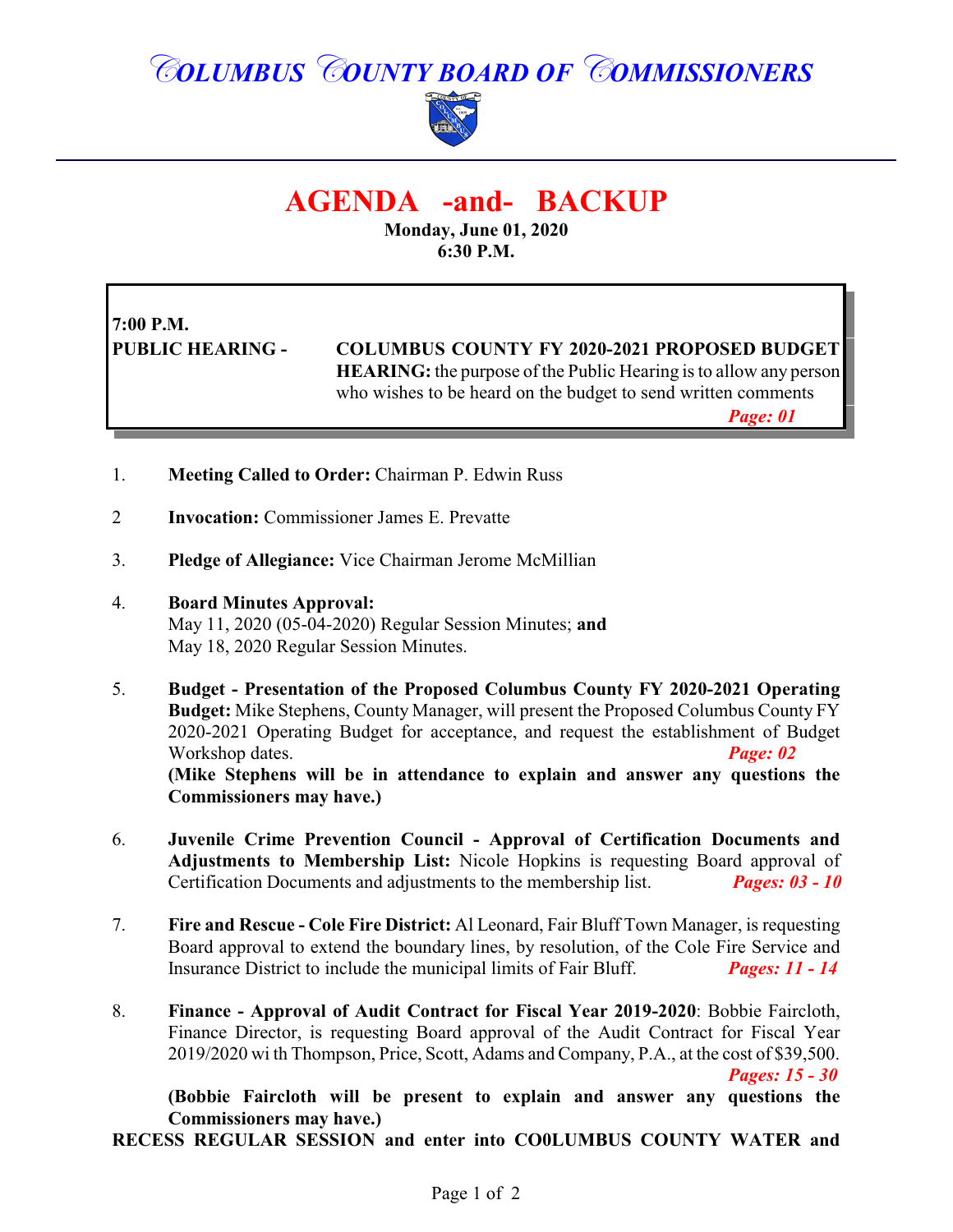## *COLUMBUS COUNTY BOARD OF COMMISSIONERS*



### **AGENDA -and- BACKUP**

**Monday, June 01, 2020 6:30 P.M.**

# **7:00 P.M.**

**PUBLIC HEARING - COLUMBUS COUNTY FY 2020-2021 PROPOSED BUDGET HEARING:** the purpose of the Public Hearing is to allow any person who wishes to be heard on the budget to send written comments

*Page: 01*

- 1. **Meeting Called to Order:** Chairman P. Edwin Russ
- 2 **Invocation:** Commissioner James E. Prevatte
- 3. **Pledge of Allegiance:** Vice Chairman Jerome McMillian
- 4. **Board Minutes Approval:**

May 11, 2020 (05-04-2020) Regular Session Minutes; **and** May 18, 2020 Regular Session Minutes.

- 5. **Budget Presentation of the Proposed Columbus County FY 2020-2021 Operating Budget:** Mike Stephens, County Manager, will present the Proposed Columbus County FY 2020-2021 Operating Budget for acceptance, and request the establishment of Budget Workshop dates. *Page: 02* **(Mike Stephens will be in attendance to explain and answer any questions the Commissioners may have.)**
- 6. **Juvenile Crime Prevention Council Approval of Certification Documents and Adjustments to Membership List:** Nicole Hopkins is requesting Board approval of Certification Documents and adjustments to the membership list. *Pages: 03 - 10*
- 7. **Fire and Rescue Cole Fire District:** Al Leonard, Fair Bluff Town Manager, is requesting Board approval to extend the boundary lines, by resolution, of the Cole Fire Service and Insurance District to include the municipal limits of Fair Bluff. *Pages: 11 - 14*
- 8. **Finance Approval of Audit Contract for Fiscal Year 2019-2020**: Bobbie Faircloth, Finance Director, is requesting Board approval of the Audit Contract for Fiscal Year 2019/2020 wi th Thompson, Price, Scott, Adams and Company, P.A., at the cost of \$39,500. *Pages: 15 - 30*

**(Bobbie Faircloth will be present to explain and answer any questions the Commissioners may have.)**

**RECESS REGULAR SESSION and enter into CO0LUMBUS COUNTY WATER and**